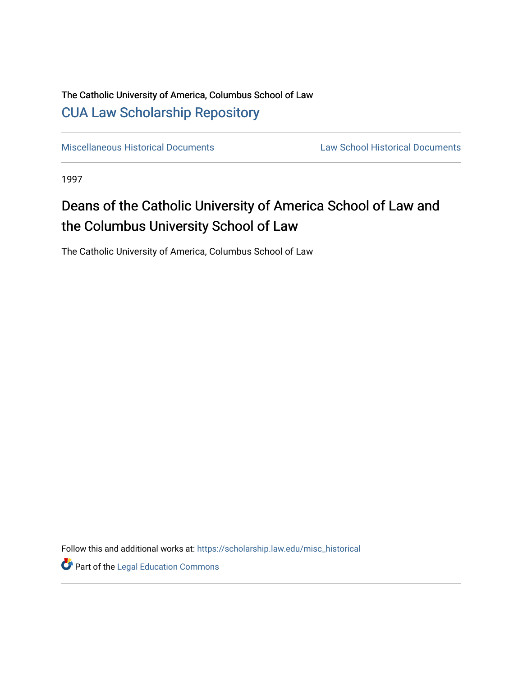### The Catholic University of America, Columbus School of Law [CUA Law Scholarship Repository](https://scholarship.law.edu/)

[Miscellaneous Historical Documents](https://scholarship.law.edu/misc_historical) [Law School Historical Documents](https://scholarship.law.edu/archives) 

1997

## Deans of the Catholic University of America School of Law and the Columbus University School of Law

The Catholic University of America, Columbus School of Law

Follow this and additional works at: [https://scholarship.law.edu/misc\\_historical](https://scholarship.law.edu/misc_historical?utm_source=scholarship.law.edu%2Fmisc_historical%2F32&utm_medium=PDF&utm_campaign=PDFCoverPages)

Part of the [Legal Education Commons](http://network.bepress.com/hgg/discipline/857?utm_source=scholarship.law.edu%2Fmisc_historical%2F32&utm_medium=PDF&utm_campaign=PDFCoverPages)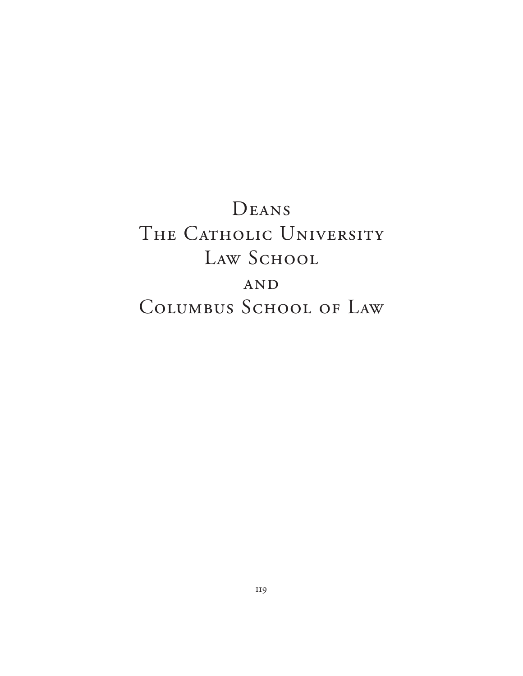# DEANS THE CATHOLIC UNIVERSITY LAW SCHOOL AND COLUMBUS SCHOOL OF LAW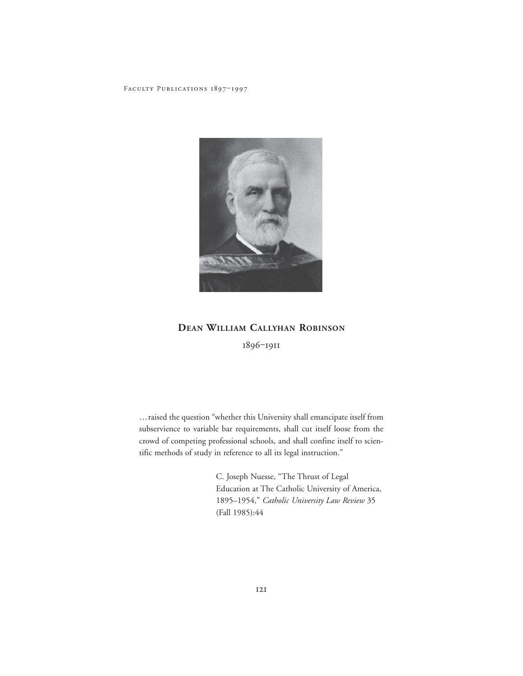

#### **DEAN WILLIAM CALLYHAN ROBINSON**

1896‒1911

…raised the question "whether this University shall emancipate itself from subservience to variable bar requirements, shall cut itself loose from the crowd of competing professional schools, and shall confine itself to scientific methods of study in reference to all its legal instruction."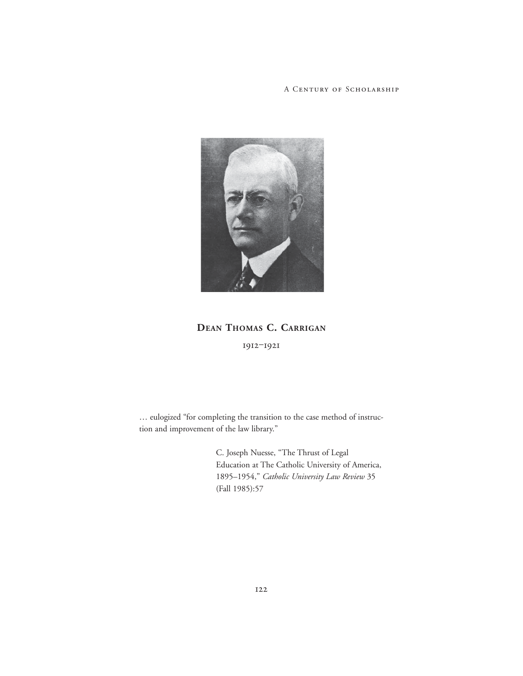

**DEAN THOMAS C. CARRIGAN** 1912‒1921

… eulogized "for completing the transition to the case method of instruction and improvement of the law library."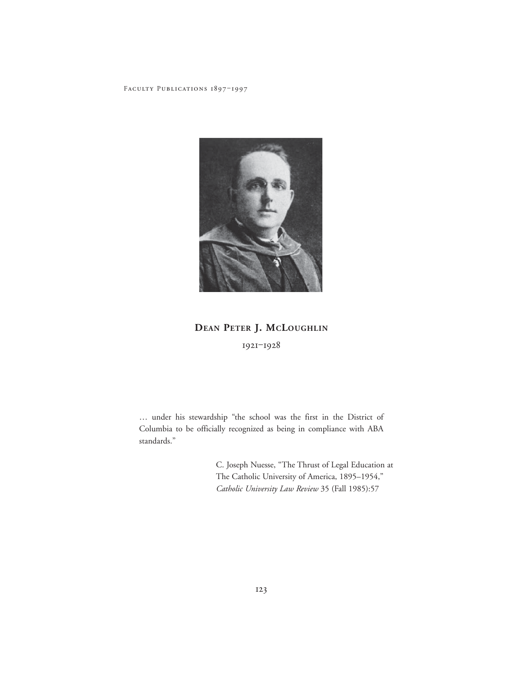

### **DEAN PETER J. MCLOUGHLIN** 1921‒1928

… under his stewardship "the school was the first in the District of Columbia to be officially recognized as being in compliance with ABA standards."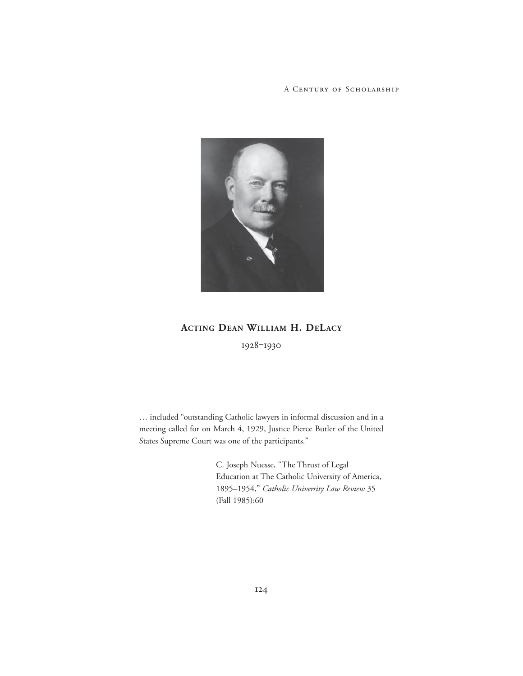

#### **ACTING DEAN WILLIAM H. DELACY**

1928-1930

… included "outstanding Catholic lawyers in informal discussion and in a meeting called for on March 4, 1929, Justice Pierce Butler of the United States Supreme Court was one of the participants."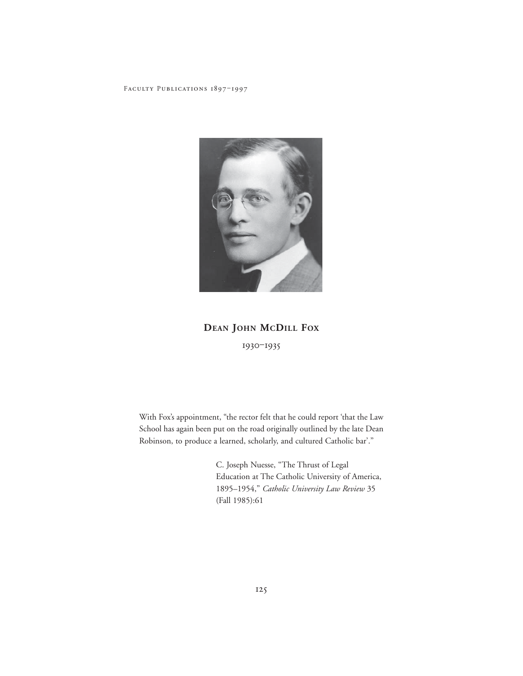

### **DEAN JOHN MCDILL FOX** 1930‒1935

With Fox's appointment, "the rector felt that he could report 'that the Law School has again been put on the road originally outlined by the late Dean Robinson, to produce a learned, scholarly, and cultured Catholic bar'."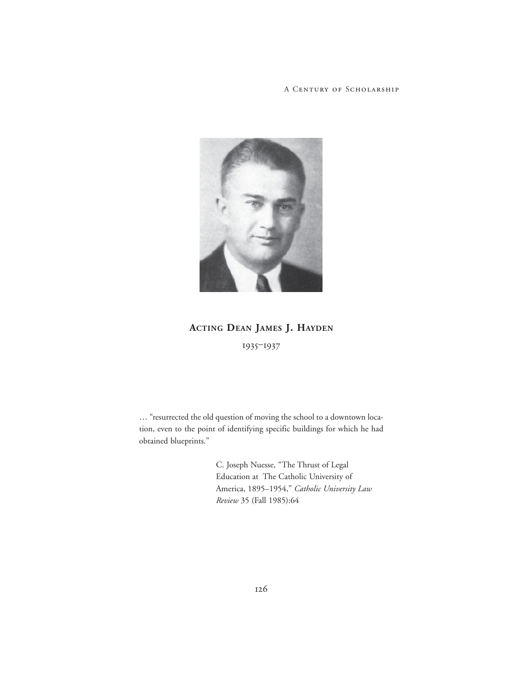

### **ACTING DEAN JAMES J. HAYDEN** 1935‒1937

… "resurrected the old question of moving the school to a downtown location, even to the point of identifying specific buildings for which he had obtained blueprints."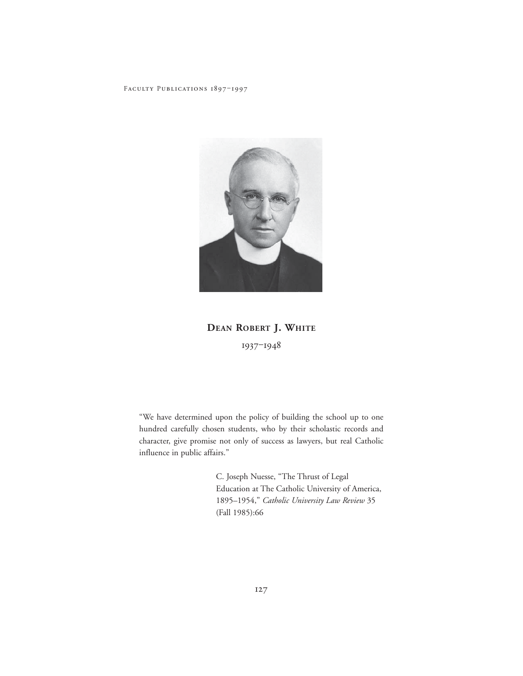

**DEAN ROBERT J. WHITE** 1937‒1948

"We have determined upon the policy of building the school up to one hundred carefully chosen students, who by their scholastic records and character, give promise not only of success as lawyers, but real Catholic influence in public affairs."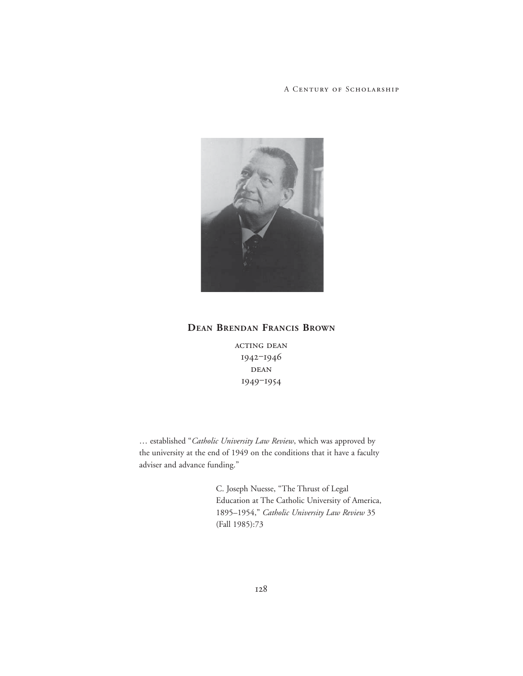

#### **DEAN BRENDAN FRANCIS BROWN**

ACTING DEAN 1942‒1946  $\rm DEAN$ 1949‒1954

… established "*Catholic University Law Review*, which was approved by the university at the end of 1949 on the conditions that it have a faculty adviser and advance funding."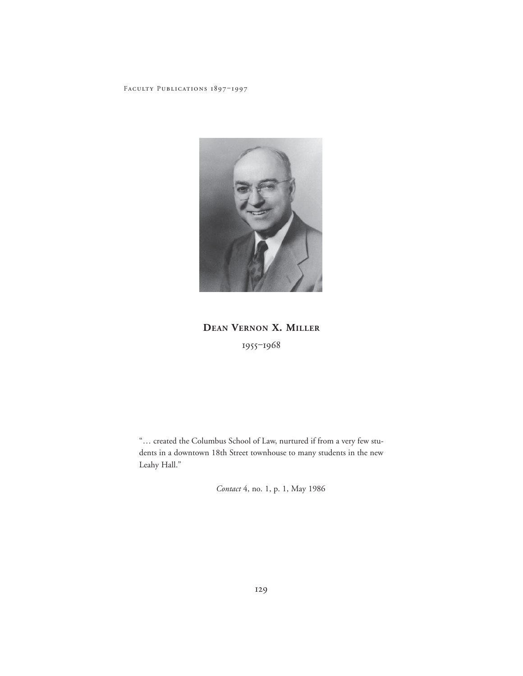

### DEAN VERNON X. MILLER 1955-1968

"... created the Columbus School of Law, nurtured if from a very few students in a downtown 18th Street townhouse to many students in the new Leahy Hall."

Contact 4, no. 1, p. 1, May 1986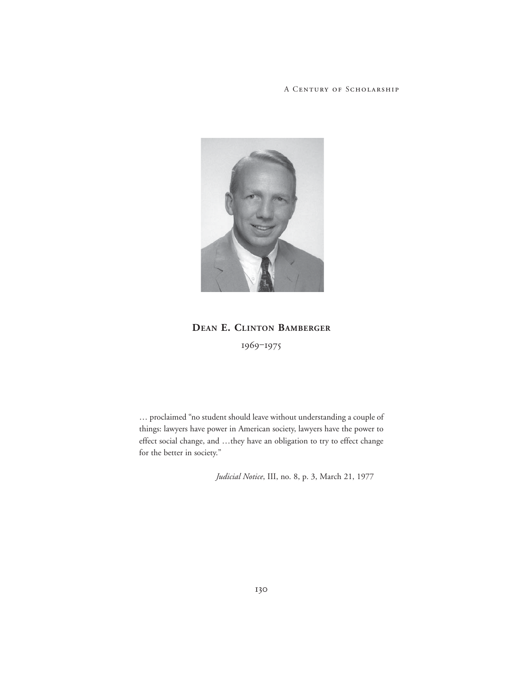

# **DEAN E. CLINTON BAMBERGER**

1969‒1975

… proclaimed "no student should leave without understanding a couple of things: lawyers have power in American society, lawyers have the power to effect social change, and …they have an obligation to try to effect change for the better in society."

*Judicial Notice*, III, no. 8, p. 3, March 21, 1977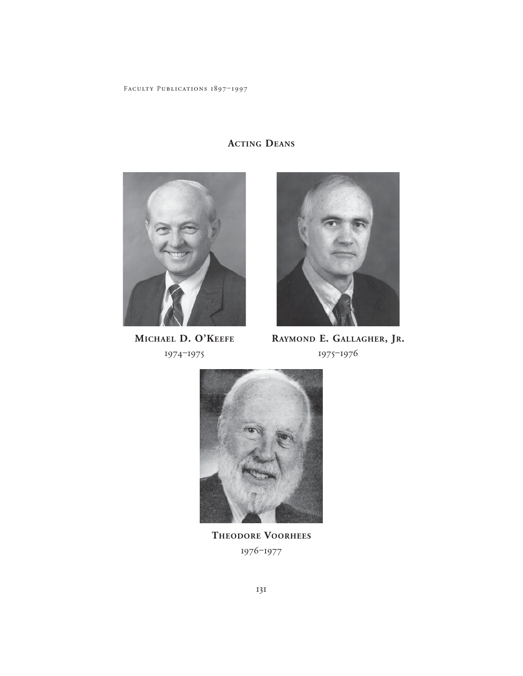

MICHAEL D. O'KEEFE 1974-1975



RAYMOND E. GALLAGHER, JR. 1975-1976



THEODORE VOORHEES 1976-1977

### **ACTING DEANS**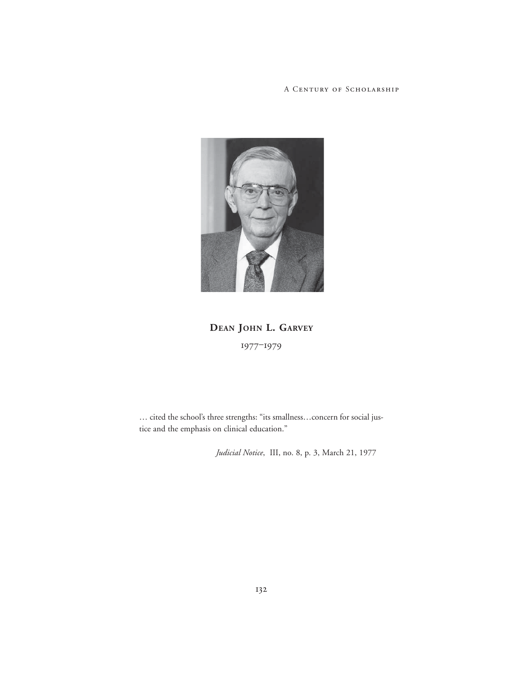

**DEAN JOHN L. GARVEY** 1977‒1979

… cited the school's three strengths: "its smallness…concern for social justice and the emphasis on clinical education."

*Judicial Notice*, III, no. 8, p. 3, March 21, 1977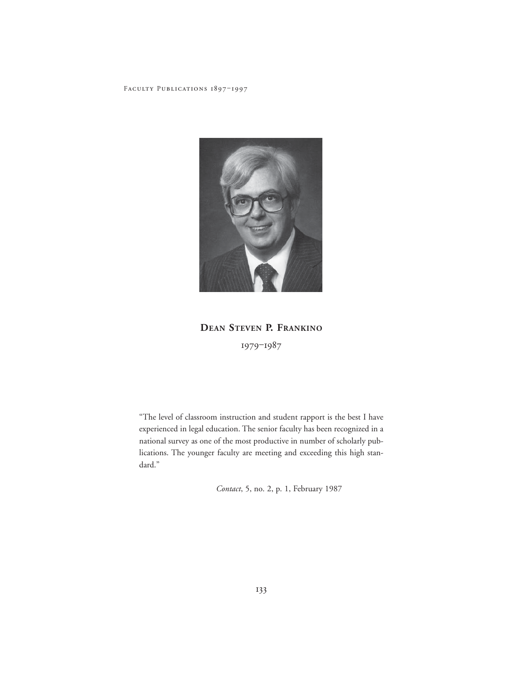

**DEAN STEVEN P. FRANKINO** 1979-1987

"The level of classroom instruction and student rapport is the best I have experienced in legal education. The senior faculty has been recognized in a national survey as one of the most productive in number of scholarly publications. The younger faculty are meeting and exceeding this high standard."

*Contact*, 5, no. 2, p. 1, February 1987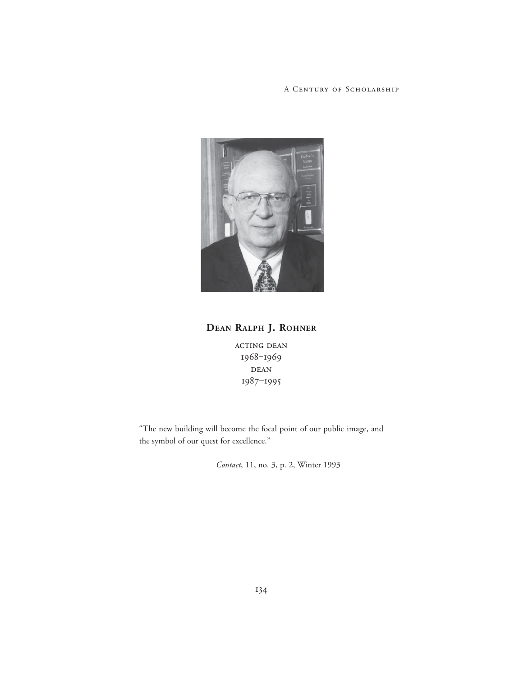

#### **DEAN RALPH J. ROHNER**

acting dean 1968-1969 DEAN 1987‒1995

"The new building will become the focal point of our public image, and the symbol of our quest for excellence."

*Contact*, 11, no. 3, p. 2, Winter 1993